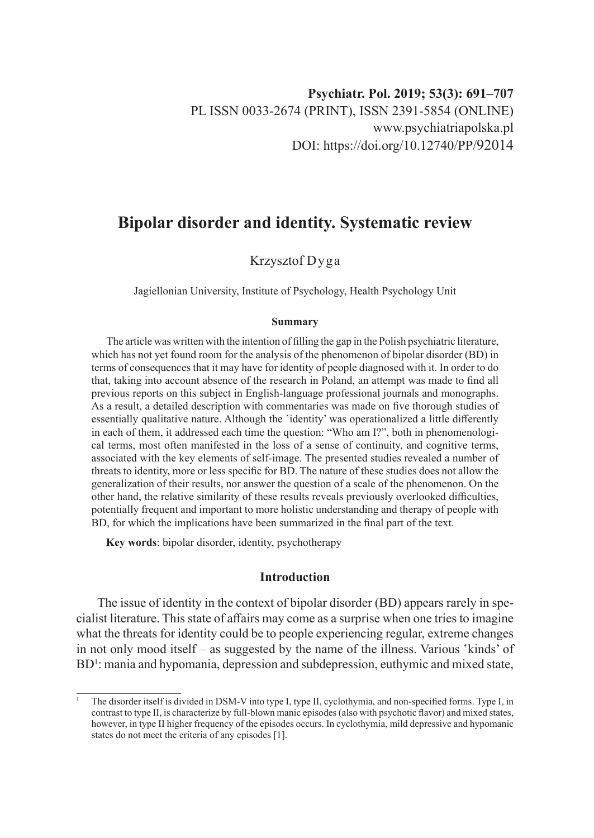# **Bipolar disorder and identity. Systematic review**

## Krzysztof Dyga

Jagiellonian University, Institute of Psychology, Health Psychology Unit

#### **Summary**

The article was written with the intention of filling the gap in the Polish psychiatric literature, which has not yet found room for the analysis of the phenomenon of bipolar disorder (BD) in terms of consequences that it may have for identity of people diagnosed with it. In order to do that, taking into account absence of the research in Poland, an attempt was made to find all previous reports on this subject in English-language professional journals and monographs. As a result, a detailed description with commentaries was made on five thorough studies of essentially qualitative nature. Although the 'identity' was operationalized a little differently in each of them, it addressed each time the question: "Who am I?", both in phenomenological terms, most often manifested in the loss of a sense of continuity, and cognitive terms, associated with the key elements of self-image. The presented studies revealed a number of threats to identity, more or less specific for BD. The nature of these studies does not allow the generalization of their results, nor answer the question of a scale of the phenomenon. On the other hand, the relative similarity of these results reveals previously overlooked difficulties, potentially frequent and important to more holistic understanding and therapy of people with BD, for which the implications have been summarized in the final part of the text.

**Key words**: bipolar disorder, identity, psychotherapy

### **Introduction**

The issue of identity in the context of bipolar disorder (BD) appears rarely in specialist literature. This state of affairs may come as a surprise when one tries to imagine what the threats for identity could be to people experiencing regular, extreme changes in not only mood itself – as suggested by the name of the illness. Various 'kinds' of BD<sup>1</sup>: mania and hypomania, depression and subdepression, euthymic and mixed state,

<sup>1</sup> The disorder itself is divided in DSM-V into type I, type II, cyclothymia, and non-specified forms. Type I, in contrast to type II, is characterize by full-blown manic episodes (also with psychotic flavor) and mixed states, however, in type II higher frequency of the episodes occurs. In cyclothymia, mild depressive and hypomanic states do not meet the criteria of any episodes [1].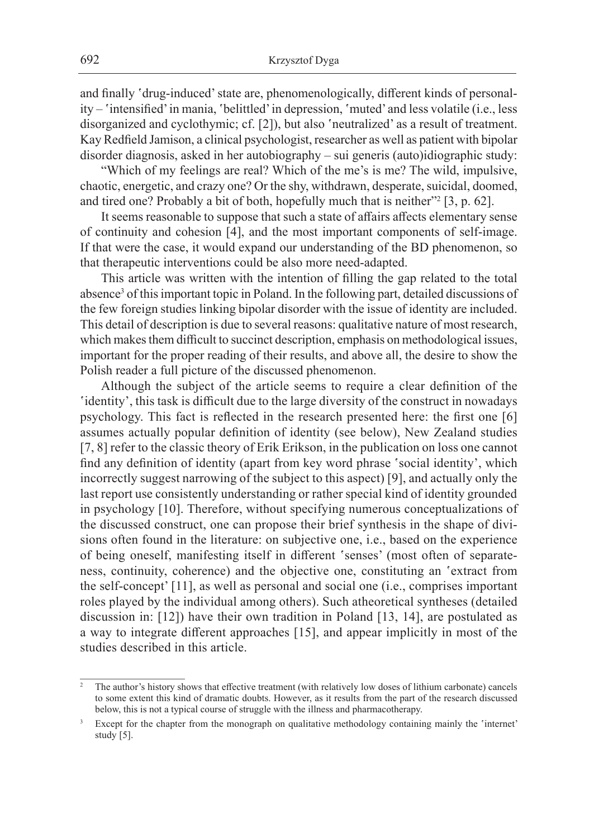and finally 'drug-induced' state are, phenomenologically, different kinds of personality – 'intensified' in mania, 'belittled' in depression, 'muted' and less volatile (i.e., less disorganized and cyclothymic; cf. [2]), but also 'neutralized' as a result of treatment. Kay Redfield Jamison, a clinical psychologist, researcher as well as patient with bipolar disorder diagnosis, asked in her autobiography – sui generis (auto)idiographic study:

"Which of my feelings are real? Which of the me's is me? The wild, impulsive, chaotic, energetic, and crazy one? Or the shy, withdrawn, desperate, suicidal, doomed, and tired one? Probably a bit of both, hopefully much that is neither"2 [3, p. 62].

It seems reasonable to suppose that such a state of affairs affects elementary sense of continuity and cohesion [4], and the most important components of self-image. If that were the case, it would expand our understanding of the BD phenomenon, so that therapeutic interventions could be also more need-adapted.

This article was written with the intention of filling the gap related to the total absence<sup>3</sup> of this important topic in Poland. In the following part, detailed discussions of the few foreign studies linking bipolar disorder with the issue of identity are included. This detail of description is due to several reasons: qualitative nature of most research, which makes them difficult to succinct description, emphasis on methodological issues, important for the proper reading of their results, and above all, the desire to show the Polish reader a full picture of the discussed phenomenon.

Although the subject of the article seems to require a clear definition of the 'identity', this task is difficult due to the large diversity of the construct in nowadays psychology. This fact is reflected in the research presented here: the first one [6] assumes actually popular definition of identity (see below), New Zealand studies [7, 8] refer to the classic theory of Erik Erikson, in the publication on loss one cannot find any definition of identity (apart from key word phrase 'social identity', which incorrectly suggest narrowing of the subject to this aspect) [9], and actually only the last report use consistently understanding or rather special kind of identity grounded in psychology [10]. Therefore, without specifying numerous conceptualizations of the discussed construct, one can propose their brief synthesis in the shape of divisions often found in the literature: on subjective one, i.e., based on the experience of being oneself, manifesting itself in different 'senses' (most often of separateness, continuity, coherence) and the objective one, constituting an 'extract from the self-concept' [11], as well as personal and social one (i.e., comprises important roles played by the individual among others). Such atheoretical syntheses (detailed discussion in: [12]) have their own tradition in Poland [13, 14], are postulated as a way to integrate different approaches [15], and appear implicitly in most of the studies described in this article.

<sup>2</sup> The author's history shows that effective treatment (with relatively low doses of lithium carbonate) cancels to some extent this kind of dramatic doubts. However, as it results from the part of the research discussed below, this is not a typical course of struggle with the illness and pharmacotherapy.

Except for the chapter from the monograph on qualitative methodology containing mainly the 'internet' study [5].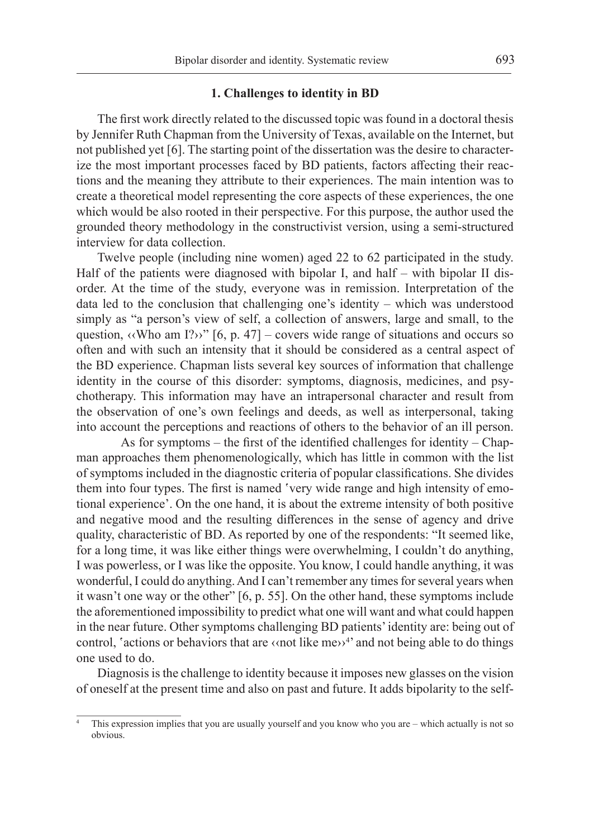#### **1. Challenges to identity in BD**

The first work directly related to the discussed topic was found in a doctoral thesis by Jennifer Ruth Chapman from the University of Texas, available on the Internet, but not published yet [6]. The starting point of the dissertation was the desire to characterize the most important processes faced by BD patients, factors affecting their reactions and the meaning they attribute to their experiences. The main intention was to create a theoretical model representing the core aspects of these experiences, the one which would be also rooted in their perspective. For this purpose, the author used the grounded theory methodology in the constructivist version, using a semi-structured interview for data collection.

Twelve people (including nine women) aged 22 to 62 participated in the study. Half of the patients were diagnosed with bipolar I, and half – with bipolar II disorder. At the time of the study, everyone was in remission. Interpretation of the data led to the conclusion that challenging one's identity – which was understood simply as "a person's view of self, a collection of answers, large and small, to the question,  $\langle$ Who am I?>>" [6, p. 47] – covers wide range of situations and occurs so often and with such an intensity that it should be considered as a central aspect of the BD experience. Chapman lists several key sources of information that challenge identity in the course of this disorder: symptoms, diagnosis, medicines, and psychotherapy. This information may have an intrapersonal character and result from the observation of one's own feelings and deeds, as well as interpersonal, taking into account the perceptions and reactions of others to the behavior of an ill person.

As for symptoms – the first of the identified challenges for identity – Chapman approaches them phenomenologically, which has little in common with the list of symptoms included in the diagnostic criteria of popular classifications. She divides them into four types. The first is named 'very wide range and high intensity of emotional experience'. On the one hand, it is about the extreme intensity of both positive and negative mood and the resulting differences in the sense of agency and drive quality, characteristic of BD. As reported by one of the respondents: "It seemed like, for a long time, it was like either things were overwhelming, I couldn't do anything, I was powerless, or I was like the opposite. You know, I could handle anything, it was wonderful, I could do anything. And I can't remember any times for several years when it wasn't one way or the other" [6, p. 55]. On the other hand, these symptoms include the aforementioned impossibility to predict what one will want and what could happen in the near future. Other symptoms challenging BD patients' identity are: being out of control, 'actions or behaviors that are  $\langle \text{not like me} \rangle^4$ ' and not being able to do things one used to do.

Diagnosis is the challenge to identity because it imposes new glasses on the vision of oneself at the present time and also on past and future. It adds bipolarity to the self-

This expression implies that you are usually yourself and you know who you are – which actually is not so obvious.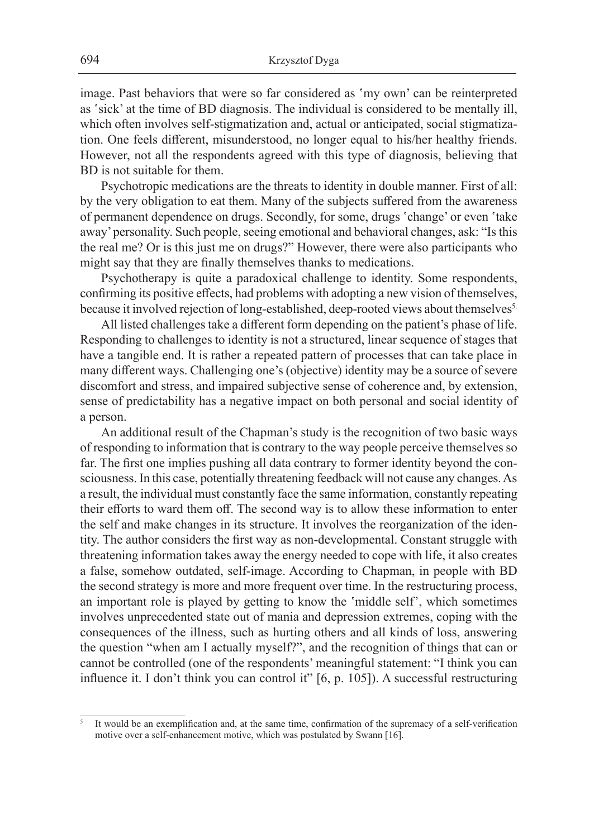image. Past behaviors that were so far considered as 'my own' can be reinterpreted as 'sick' at the time of BD diagnosis. The individual is considered to be mentally ill, which often involves self-stigmatization and, actual or anticipated, social stigmatization. One feels different, misunderstood, no longer equal to his/her healthy friends. However, not all the respondents agreed with this type of diagnosis, believing that BD is not suitable for them.

Psychotropic medications are the threats to identity in double manner. First of all: by the very obligation to eat them. Many of the subjects suffered from the awareness of permanent dependence on drugs. Secondly, for some, drugs 'change' or even 'take away' personality. Such people, seeing emotional and behavioral changes, ask: "Is this the real me? Or is this just me on drugs?" However, there were also participants who might say that they are finally themselves thanks to medications.

Psychotherapy is quite a paradoxical challenge to identity. Some respondents, confirming its positive effects, had problems with adopting a new vision of themselves, because it involved rejection of long-established, deep-rooted views about themselves<sup>5.</sup>

All listed challenges take a different form depending on the patient's phase of life. Responding to challenges to identity is not a structured, linear sequence of stages that have a tangible end. It is rather a repeated pattern of processes that can take place in many different ways. Challenging one's (objective) identity may be a source of severe discomfort and stress, and impaired subjective sense of coherence and, by extension, sense of predictability has a negative impact on both personal and social identity of a person.

An additional result of the Chapman's study is the recognition of two basic ways of responding to information that is contrary to the way people perceive themselves so far. The first one implies pushing all data contrary to former identity beyond the consciousness. In this case, potentially threatening feedback will not cause any changes. As a result, the individual must constantly face the same information, constantly repeating their efforts to ward them off. The second way is to allow these information to enter the self and make changes in its structure. It involves the reorganization of the identity. The author considers the first way as non-developmental. Constant struggle with threatening information takes away the energy needed to cope with life, it also creates a false, somehow outdated, self-image. According to Chapman, in people with BD the second strategy is more and more frequent over time. In the restructuring process, an important role is played by getting to know the 'middle self', which sometimes involves unprecedented state out of mania and depression extremes, coping with the consequences of the illness, such as hurting others and all kinds of loss, answering the question "when am I actually myself?", and the recognition of things that can or cannot be controlled (one of the respondents' meaningful statement: "I think you can influence it. I don't think you can control it" [6, p. 105]). A successful restructuring

It would be an exemplification and, at the same time, confirmation of the supremacy of a self-verification motive over a self-enhancement motive, which was postulated by Swann [16].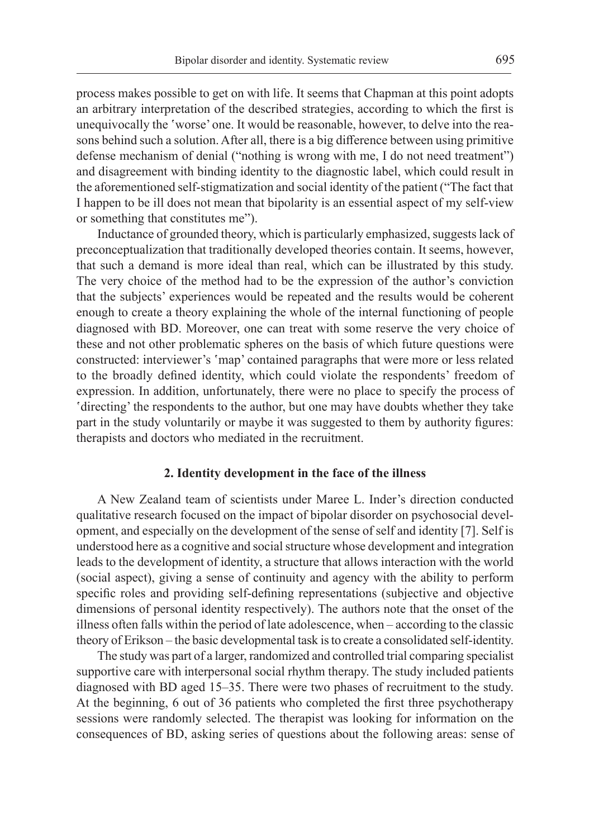process makes possible to get on with life. It seems that Chapman at this point adopts an arbitrary interpretation of the described strategies, according to which the first is unequivocally the 'worse' one. It would be reasonable, however, to delve into the reasons behind such a solution. After all, there is a big difference between using primitive defense mechanism of denial ("nothing is wrong with me, I do not need treatment") and disagreement with binding identity to the diagnostic label, which could result in the aforementioned self-stigmatization and social identity of the patient ("The fact that I happen to be ill does not mean that bipolarity is an essential aspect of my self-view or something that constitutes me").

Inductance of grounded theory, which is particularly emphasized, suggests lack of preconceptualization that traditionally developed theories contain. It seems, however, that such a demand is more ideal than real, which can be illustrated by this study. The very choice of the method had to be the expression of the author's conviction that the subjects' experiences would be repeated and the results would be coherent enough to create a theory explaining the whole of the internal functioning of people diagnosed with BD. Moreover, one can treat with some reserve the very choice of these and not other problematic spheres on the basis of which future questions were constructed: interviewer's 'map' contained paragraphs that were more or less related to the broadly defined identity, which could violate the respondents' freedom of expression. In addition, unfortunately, there were no place to specify the process of 'directing' the respondents to the author, but one may have doubts whether they take part in the study voluntarily or maybe it was suggested to them by authority figures: therapists and doctors who mediated in the recruitment.

#### **2. Identity development in the face of the illness**

A New Zealand team of scientists under Maree L. Inder's direction conducted qualitative research focused on the impact of bipolar disorder on psychosocial development, and especially on the development of the sense of self and identity [7]. Self is understood here as a cognitive and social structure whose development and integration leads to the development of identity, a structure that allows interaction with the world (social aspect), giving a sense of continuity and agency with the ability to perform specific roles and providing self-defining representations (subjective and objective dimensions of personal identity respectively). The authors note that the onset of the illness often falls within the period of late adolescence, when – according to the classic theory of Erikson – the basic developmental task is to create a consolidated self-identity.

The study was part of a larger, randomized and controlled trial comparing specialist supportive care with interpersonal social rhythm therapy. The study included patients diagnosed with BD aged 15–35. There were two phases of recruitment to the study. At the beginning, 6 out of 36 patients who completed the first three psychotherapy sessions were randomly selected. The therapist was looking for information on the consequences of BD, asking series of questions about the following areas: sense of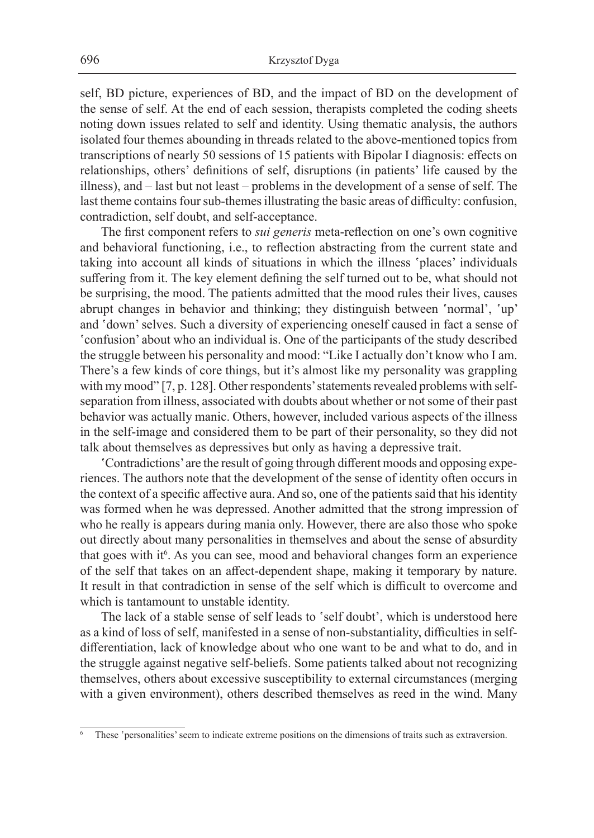self, BD picture, experiences of BD, and the impact of BD on the development of the sense of self. At the end of each session, therapists completed the coding sheets noting down issues related to self and identity. Using thematic analysis, the authors isolated four themes abounding in threads related to the above-mentioned topics from transcriptions of nearly 50 sessions of 15 patients with Bipolar I diagnosis: effects on relationships, others' definitions of self, disruptions (in patients' life caused by the illness), and – last but not least – problems in the development of a sense of self. The last theme contains four sub-themes illustrating the basic areas of difficulty: confusion, contradiction, self doubt, and self-acceptance.

The first component refers to *sui generis* meta-reflection on one's own cognitive and behavioral functioning, i.e., to reflection abstracting from the current state and taking into account all kinds of situations in which the illness 'places' individuals suffering from it. The key element defining the self turned out to be, what should not be surprising, the mood. The patients admitted that the mood rules their lives, causes abrupt changes in behavior and thinking; they distinguish between 'normal', 'up' and 'down' selves. Such a diversity of experiencing oneself caused in fact a sense of 'confusion' about who an individual is. One of the participants of the study described the struggle between his personality and mood: "Like I actually don't know who I am. There's a few kinds of core things, but it's almost like my personality was grappling with my mood" [7, p. 128]. Other respondents' statements revealed problems with selfseparation from illness, associated with doubts about whether or not some of their past behavior was actually manic. Others, however, included various aspects of the illness in the self-image and considered them to be part of their personality, so they did not talk about themselves as depressives but only as having a depressive trait.

'Contradictions' are the result of going through different moods and opposing experiences. The authors note that the development of the sense of identity often occurs in the context of a specific affective aura. And so, one of the patients said that his identity was formed when he was depressed. Another admitted that the strong impression of who he really is appears during mania only. However, there are also those who spoke out directly about many personalities in themselves and about the sense of absurdity that goes with it<sup>6</sup>. As you can see, mood and behavioral changes form an experience of the self that takes on an affect-dependent shape, making it temporary by nature. It result in that contradiction in sense of the self which is difficult to overcome and which is tantamount to unstable identity.

The lack of a stable sense of self leads to 'self doubt', which is understood here as a kind of loss of self, manifested in a sense of non-substantiality, difficulties in selfdifferentiation, lack of knowledge about who one want to be and what to do, and in the struggle against negative self-beliefs. Some patients talked about not recognizing themselves, others about excessive susceptibility to external circumstances (merging with a given environment), others described themselves as reed in the wind. Many

These 'personalities' seem to indicate extreme positions on the dimensions of traits such as extraversion.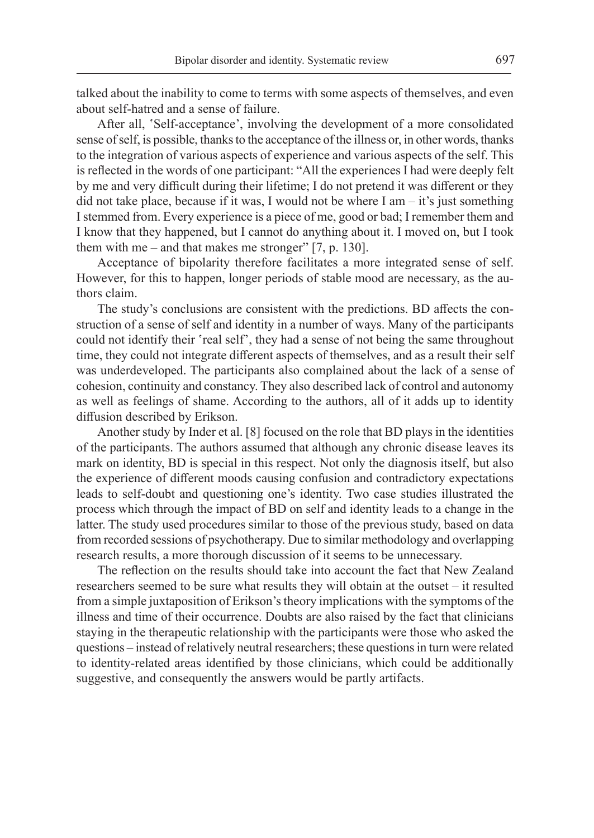talked about the inability to come to terms with some aspects of themselves, and even about self-hatred and a sense of failure.

After all, 'Self-acceptance', involving the development of a more consolidated sense of self, is possible, thanks to the acceptance of the illness or, in other words, thanks to the integration of various aspects of experience and various aspects of the self. This is reflected in the words of one participant: "All the experiences I had were deeply felt by me and very difficult during their lifetime; I do not pretend it was different or they did not take place, because if it was, I would not be where I am – it's just something Istemmed from. Every experience is a piece of me, good or bad; I remember them and I know that they happened, but I cannot do anything about it. I moved on, but I took them with me – and that makes me stronger" [7, p. 130].

Acceptance of bipolarity therefore facilitates a more integrated sense of self. However, for this to happen, longer periods of stable mood are necessary, as the authors claim.

The study's conclusions are consistent with the predictions. BD affects the construction of a sense of self and identity in a number of ways. Many of the participants could not identify their 'real self', they had a sense of not being the same throughout time, they could not integrate different aspects of themselves, and as a result their self was underdeveloped. The participants also complained about the lack of a sense of cohesion, continuity and constancy. They also described lack of control and autonomy as well as feelings of shame. According to the authors, all of it adds up to identity diffusion described by Erikson.

Another study by Inder et al. [8] focused on the role that BD plays in the identities of the participants. The authors assumed that although any chronic disease leaves its mark on identity, BD is special in this respect. Not only the diagnosis itself, but also the experience of different moods causing confusion and contradictory expectations leads to self-doubt and questioning one's identity. Two case studies illustrated the process which through the impact of BD on self and identity leads to a change in the latter. The study used procedures similar to those of the previous study, based on data from recorded sessions of psychotherapy. Due to similar methodology and overlapping research results, a more thorough discussion of it seems to be unnecessary.

The reflection on the results should take into account the fact that New Zealand researchers seemed to be sure what results they will obtain at the outset – it resulted from a simple juxtaposition of Erikson's theory implications with the symptoms of the illness and time of their occurrence. Doubts are also raised by the fact that clinicians staying in the therapeutic relationship with the participants were those who asked the questions – instead of relatively neutral researchers; these questions in turn were related to identity-related areas identified by those clinicians, which could be additionally suggestive, and consequently the answers would be partly artifacts.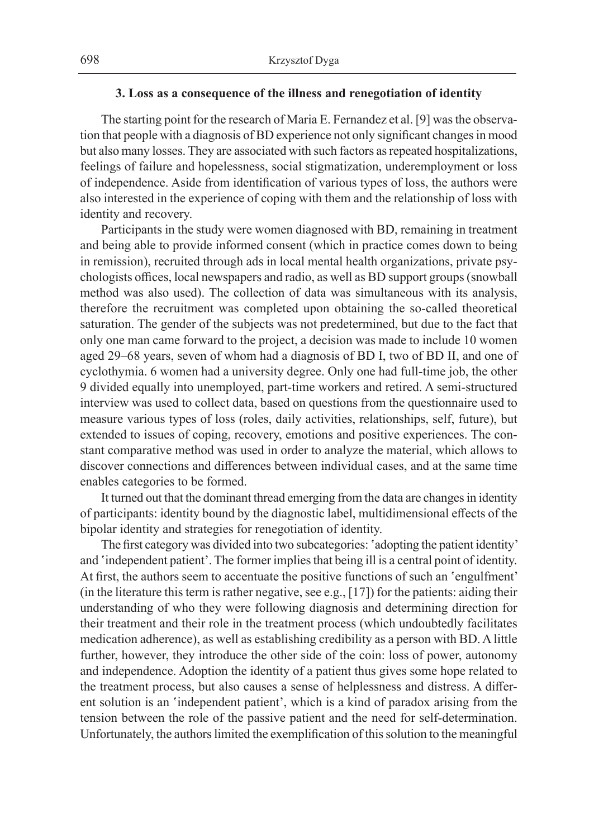### **3. Loss as a consequence of the illness and renegotiation of identity**

The starting point for the research of Maria E. Fernandez et al. [9] was the observation that people with a diagnosis of BD experience not only significant changes in mood but also many losses. They are associated with such factors as repeated hospitalizations, feelings of failure and hopelessness, social stigmatization, underemployment or loss of independence. Aside from identification of various types of loss, the authors were also interested in the experience of coping with them and the relationship of loss with identity and recovery.

Participants in the study were women diagnosed with BD, remaining in treatment and being able to provide informed consent (which in practice comes down to being in remission), recruited through ads in local mental health organizations, private psychologists offices, local newspapers and radio, as well as BD support groups (snowball method was also used). The collection of data was simultaneous with its analysis, therefore the recruitment was completed upon obtaining the so-called theoretical saturation. The gender of the subjects was not predetermined, but due to the fact that only one man came forward to the project, a decision was made to include 10 women aged 29–68 years, seven of whom had a diagnosis of BD I, two of BD II, and one of cyclothymia. 6 women had a university degree. Only one had full-time job, the other 9 divided equally into unemployed, part-time workers and retired. A semi-structured interview was used to collect data, based on questions from the questionnaire used to measure various types of loss (roles, daily activities, relationships, self, future), but extended to issues of coping, recovery, emotions and positive experiences. The constant comparative method was used in order to analyze the material, which allows to discover connections and differences between individual cases, and at the same time enables categories to be formed.

It turned out that the dominant thread emerging from the data are changes in identity of participants: identity bound by the diagnostic label, multidimensional effects of the bipolar identity and strategies for renegotiation of identity.

The first category was divided into two subcategories: 'adopting the patient identity' and 'independent patient'. The former implies that being ill is a central point of identity. At first, the authors seem to accentuate the positive functions of such an 'engulfment' (in the literature this term is rather negative, see e.g., [17]) for the patients: aiding their understanding of who they were following diagnosis and determining direction for their treatment and their role in the treatment process (which undoubtedly facilitates medication adherence), as well as establishing credibility as a person with BD. A little further, however, they introduce the other side of the coin: loss of power, autonomy and independence. Adoption the identity of a patient thus gives some hope related to the treatment process, but also causes a sense of helplessness and distress. A different solution is an 'independent patient', which is a kind of paradox arising from the tension between the role of the passive patient and the need for self-determination. Unfortunately, the authors limited the exemplification of this solution to the meaningful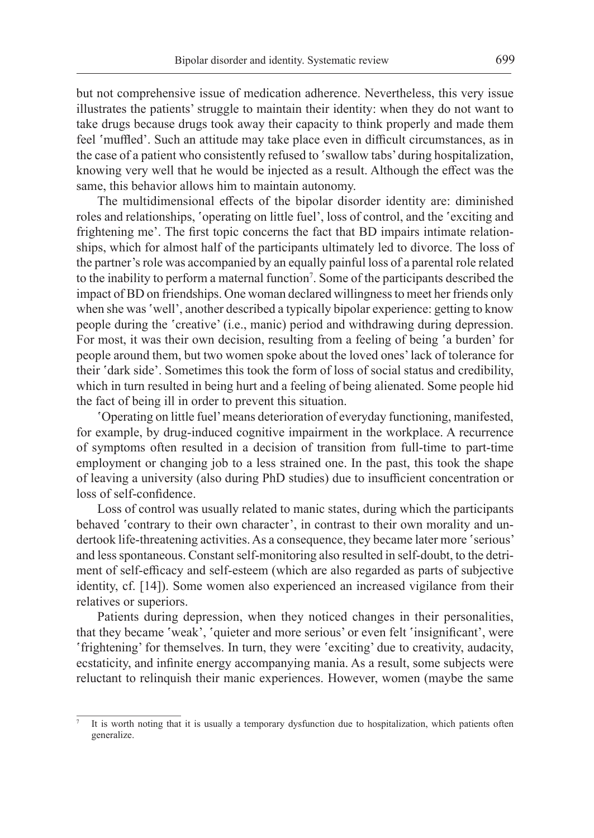but not comprehensive issue of medication adherence. Nevertheless, this very issue illustrates the patients' struggle to maintain their identity: when they do not want to take drugs because drugs took away their capacity to think properly and made them feel 'muffled'. Such an attitude may take place even in difficult circumstances, as in the case of a patient who consistently refused to 'swallow tabs' during hospitalization, knowing very well that he would be injected as a result. Although the effect was the same, this behavior allows him to maintain autonomy.

The multidimensional effects of the bipolar disorder identity are: diminished roles and relationships, 'operating on little fuel', loss of control, and the 'exciting and frightening me'. The first topic concerns the fact that BD impairs intimate relationships, which for almost half of the participants ultimately led to divorce. The loss of the partner's role was accompanied by an equally painful loss of a parental role related to the inability to perform a maternal function<sup>7</sup>. Some of the participants described the impact of BD on friendships. One woman declared willingness to meet her friends only when she was 'well', another described a typically bipolar experience: getting to know people during the 'creative' (i.e., manic) period and withdrawing during depression. For most, it was their own decision, resulting from a feeling of being 'a burden' for people around them, but two women spoke about the loved ones' lack of tolerance for their 'dark side'. Sometimes this took the form of loss of social status and credibility, which in turn resulted in being hurt and a feeling of being alienated. Some people hid the fact of being ill in order to prevent this situation.

'Operating on little fuel' means deterioration of everyday functioning, manifested, for example, by drug-induced cognitive impairment in the workplace. A recurrence of symptoms often resulted in a decision of transition from full-time to part-time employment or changing job to a less strained one. In the past, this took the shape of leaving a university (also during PhD studies) due to insufficient concentration or loss of self-confidence.

Loss of control was usually related to manic states, during which the participants behaved 'contrary to their own character', in contrast to their own morality and undertook life-threatening activities. As a consequence, they became later more 'serious' and less spontaneous. Constant self-monitoring also resulted in self-doubt, to the detriment of self-efficacy and self-esteem (which are also regarded as parts of subjective identity, cf. [14]). Some women also experienced an increased vigilance from their relatives or superiors.

Patients during depression, when they noticed changes in their personalities, that they became 'weak', 'quieter and more serious' or even felt 'insignificant', were 'frightening' for themselves. In turn, they were 'exciting' due to creativity, audacity, ecstaticity, and infinite energy accompanying mania. As a result, some subjects were reluctant to relinquish their manic experiences. However, women (maybe the same

It is worth noting that it is usually a temporary dysfunction due to hospitalization, which patients often generalize.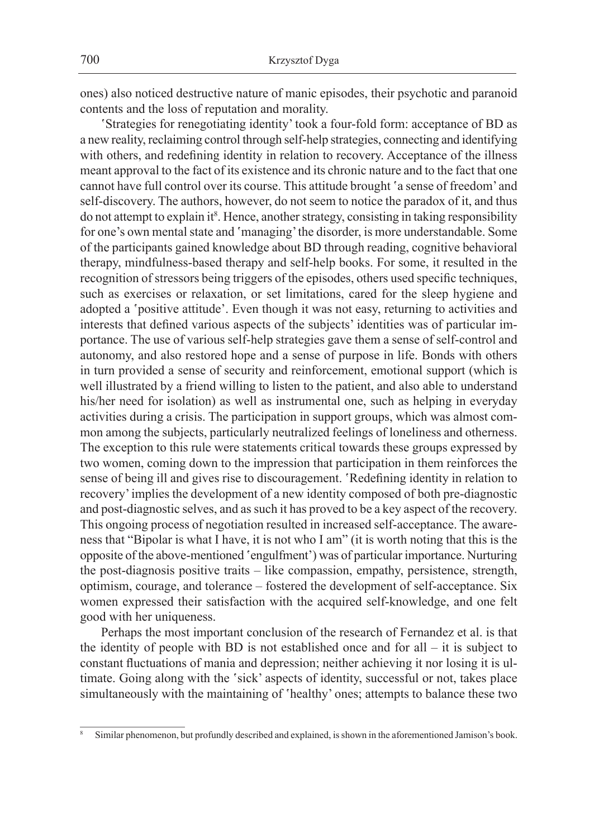ones) also noticed destructive nature of manic episodes, their psychotic and paranoid contents and the loss of reputation and morality.

'Strategies for renegotiating identity' took a four-fold form: acceptance of BD as a new reality, reclaiming control through self-help strategies, connecting and identifying with others, and redefining identity in relation to recovery. Acceptance of the illness meant approval to the fact of its existence and its chronic nature and to the fact that one cannot have full control over its course. This attitude brought 'a sense of freedom' and self-discovery. The authors, however, do not seem to notice the paradox of it, and thus do not attempt to explain it<sup>8</sup>. Hence, another strategy, consisting in taking responsibility for one's own mental state and 'managing' the disorder, is more understandable. Some of the participants gained knowledge about BD through reading, cognitive behavioral therapy, mindfulness-based therapy and self-help books. For some, it resulted in the recognition of stressors being triggers of the episodes, others used specific techniques, such as exercises or relaxation, or set limitations, cared for the sleep hygiene and adopted a 'positive attitude'. Even though it was not easy, returning to activities and interests that defined various aspects of the subjects' identities was of particular importance. The use of various self-help strategies gave them a sense of self-control and autonomy, and also restored hope and a sense of purpose in life. Bonds with others in turn provided a sense of security and reinforcement, emotional support (which is well illustrated by a friend willing to listen to the patient, and also able to understand his/her need for isolation) as well as instrumental one, such as helping in everyday activities during a crisis. The participation in support groups, which was almost common among the subjects, particularly neutralized feelings of loneliness and otherness. The exception to this rule were statements critical towards these groups expressed by two women, coming down to the impression that participation in them reinforces the sense of being ill and gives rise to discouragement. 'Redefining identity in relation to recovery' implies the development of a new identity composed of both pre-diagnostic and post-diagnostic selves, and as such it has proved to be a key aspect of the recovery. This ongoing process of negotiation resulted in increased self-acceptance. The awareness that "Bipolar is what I have, it is not who I am" (it is worth noting that this is the opposite of the above-mentioned 'engulfment') was of particular importance. Nurturing the post-diagnosis positive traits – like compassion, empathy, persistence, strength, optimism, courage, and tolerance – fostered the development of self-acceptance. Six women expressed their satisfaction with the acquired self-knowledge, and one felt good with her uniqueness.

Perhaps the most important conclusion of the research of Fernandez et al. is that the identity of people with BD is not established once and for all – it is subject to constant fluctuations of mania and depression; neither achieving it nor losing it is ultimate. Going along with the 'sick' aspects of identity, successful or not, takes place simultaneously with the maintaining of 'healthy' ones; attempts to balance these two

<sup>8</sup> Similar phenomenon, but profundly described and explained, is shown in the aforementioned Jamison's book.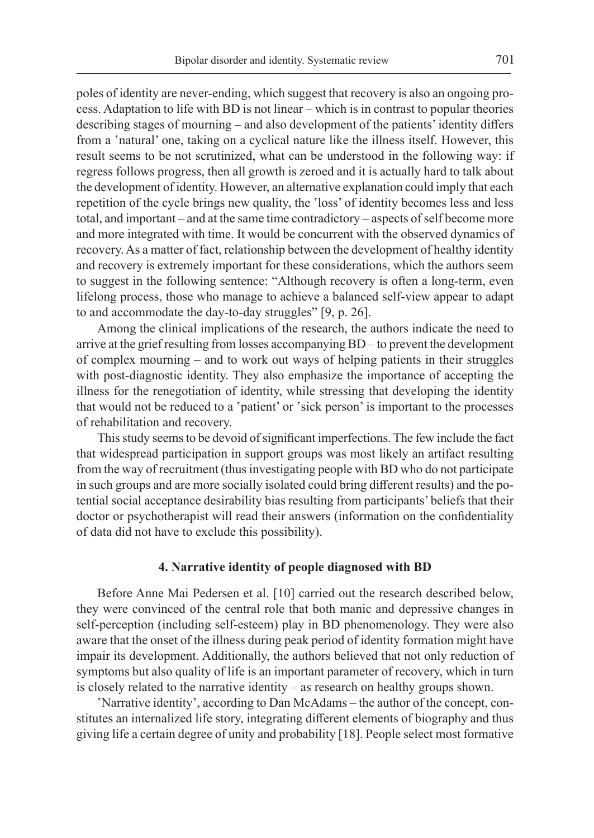poles of identity are never-ending, which suggest that recovery is also an ongoing process. Adaptation to life with BD is not linear – which is in contrast to popular theories describing stages of mourning – and also development of the patients' identity differs from a 'natural' one, taking on a cyclical nature like the illness itself. However, this result seems to be not scrutinized, what can be understood in the following way: if regress follows progress, then all growth is zeroed and it is actually hard to talk about the development of identity. However, an alternative explanation could imply that each repetition of the cycle brings new quality, the 'loss' of identity becomes less and less total, and important – and at the same time contradictory – aspects of self become more and more integrated with time. It would be concurrent with the observed dynamics of recovery. As a matter of fact, relationship between the development of healthy identity and recovery is extremely important for these considerations, which the authors seem to suggest in the following sentence: "Although recovery is often a long-term, even lifelong process, those who manage to achieve a balanced self-view appear to adapt to and accommodate the day-to-day struggles" [9, p. 26].

Among the clinical implications of the research, the authors indicate the need to arrive at the grief resulting from losses accompanying BD – to prevent the development of complex mourning – and to work out ways of helping patients in their struggles with post-diagnostic identity. They also emphasize the importance of accepting the illness for the renegotiation of identity, while stressing that developing the identity that would not be reduced to a 'patient' or 'sick person' is important to the processes of rehabilitation and recovery.

This study seems to be devoid of significant imperfections. The few include the fact that widespread participation in support groups was most likely an artifact resulting from the way of recruitment (thus investigating people with BD who do not participate in such groups and are more socially isolated could bring different results) and the potential social acceptance desirability bias resulting from participants' beliefs that their doctor or psychotherapist will read their answers (information on the confidentiality of data did not have to exclude this possibility).

#### **4. Narrative identity of people diagnosed with BD**

Before Anne Mai Pedersen et al. [10] carried out the research described below, they were convinced of the central role that both manic and depressive changes in self-perception (including self-esteem) play in BD phenomenology. They were also aware that the onset of the illness during peak period of identity formation might have impair its development. Additionally, the authors believed that not only reduction of symptoms but also quality of life is an important parameter of recovery, which in turn is closely related to the narrative identity – as research on healthy groups shown.

'Narrative identity', according to Dan McAdams – the author of the concept, constitutes an internalized life story, integrating different elements of biography and thus giving life a certain degree of unity and probability [18]. People select most formative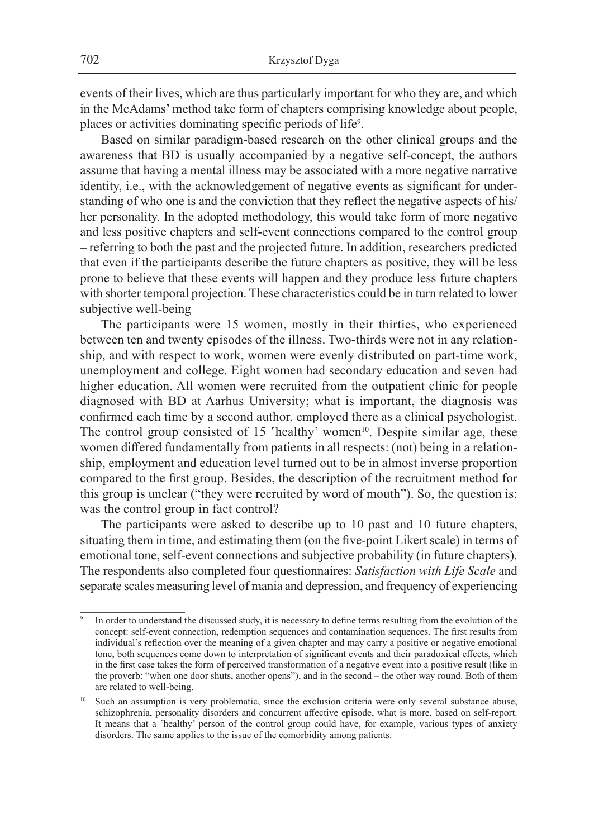events of their lives, which are thus particularly important for who they are, and which in the McAdams' method take form of chapters comprising knowledge about people, places or activities dominating specific periods of life<sup>9</sup>.

Based on similar paradigm-based research on the other clinical groups and the awareness that BD is usually accompanied by a negative self-concept, the authors assume that having a mental illness may be associated with a more negative narrative identity, i.e., with the acknowledgement of negative events as significant for understanding of who one is and the conviction that they reflect the negative aspects of his/ her personality. In the adopted methodology, this would take form of more negative and less positive chapters and self-event connections compared to the control group – referring to both the past and the projected future. In addition, researchers predicted that even if the participants describe the future chapters as positive, they will be less prone to believe that these events will happen and they produce less future chapters with shorter temporal projection. These characteristics could be in turn related to lower subjective well-being

The participants were 15 women, mostly in their thirties, who experienced between ten and twenty episodes of the illness. Two-thirds were not in any relationship, and with respect to work, women were evenly distributed on part-time work, unemployment and college. Eight women had secondary education and seven had higher education. All women were recruited from the outpatient clinic for people diagnosed with BD at Aarhus University; what is important, the diagnosis was confirmed each time by a second author, employed there as a clinical psychologist. The control group consisted of 15 'healthy' women<sup>10</sup>. Despite similar age, these women differed fundamentally from patients in all respects: (not) being in a relationship, employment and education level turned out to be in almost inverse proportion compared to the first group. Besides, the description of the recruitment method for this group is unclear ("they were recruited by word of mouth"). So, the question is: was the control group in fact control?

The participants were asked to describe up to 10 past and 10 future chapters, situating them in time, and estimating them (on the five-point Likert scale) in terms of emotional tone, self-event connections and subjective probability (in future chapters). The respondents also completed four questionnaires: *Satisfaction with Life Scale* and separate scales measuring level of mania and depression, and frequency of experiencing

In order to understand the discussed study, it is necessary to define terms resulting from the evolution of the concept: self-event connection, redemption sequences and contamination sequences. The first results from individual's reflection over the meaning of a given chapter and may carry a positive or negative emotional tone, both sequences come down to interpretation of significant events and their paradoxical effects, which in the first case takes the form of perceived transformation of a negative event into a positive result (like in the proverb: "when one door shuts, another opens"), and in the second – the other way round. Both of them are related to well-being.

<sup>&</sup>lt;sup>10</sup> Such an assumption is very problematic, since the exclusion criteria were only several substance abuse, schizophrenia, personality disorders and concurrent affective episode, what is more, based on self-report. It means that a 'healthy' person of the control group could have, for example, various types of anxiety disorders. The same applies to the issue of the comorbidity among patients.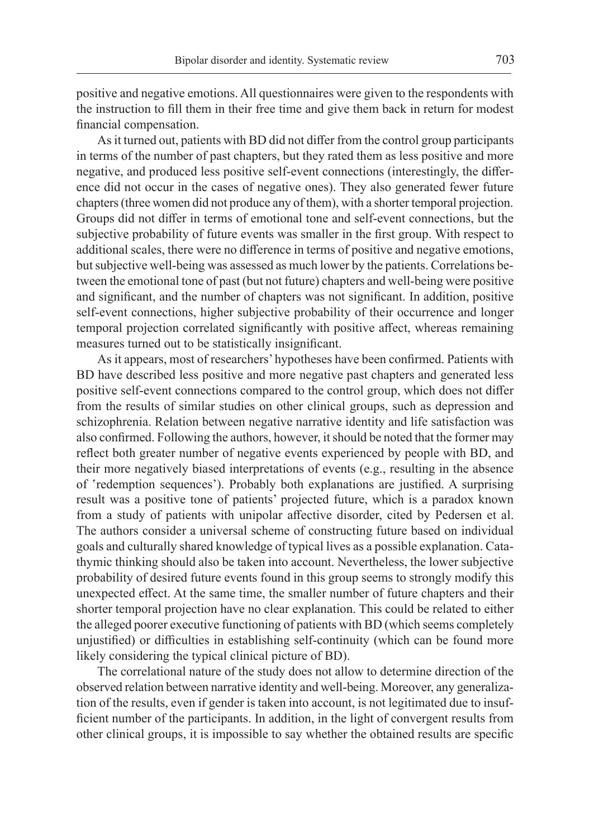positive and negative emotions. All questionnaires were given to the respondents with the instruction to fill them in their free time and give them back in return for modest financial compensation.

As it turned out, patients with BD did not differ from the control group participants in terms of the number of past chapters, but they rated them as less positive and more negative, and produced less positive self-event connections (interestingly, the difference did not occur in the cases of negative ones). They also generated fewer future chapters (three women did not produce any of them), with a shorter temporal projection. Groups did not differ in terms of emotional tone and self-event connections, but the subjective probability of future events was smaller in the first group. With respect to additional scales, there were no difference in terms of positive and negative emotions, but subjective well-being was assessed as much lower by the patients. Correlations between the emotional tone of past (but not future) chapters and well-being were positive and significant, and the number of chapters was not significant. In addition, positive self-event connections, higher subjective probability of their occurrence and longer temporal projection correlated significantly with positive affect, whereas remaining measures turned out to be statistically insignificant.

As it appears, most of researchers' hypotheses have been confirmed. Patients with BD have described less positive and more negative past chapters and generated less positive self-event connections compared to the control group, which does not differ from the results of similar studies on other clinical groups, such as depression and schizophrenia. Relation between negative narrative identity and life satisfaction was also confirmed. Following the authors, however, it should be noted that the former may reflect both greater number of negative events experienced by people with BD, and their more negatively biased interpretations of events (e.g., resulting in the absence of 'redemption sequences'). Probably both explanations are justified. A surprising result was a positive tone of patients' projected future, which is a paradox known from a study of patients with unipolar affective disorder, cited by Pedersen et al. The authors consider a universal scheme of constructing future based on individual goals and culturally shared knowledge of typical lives as a possible explanation. Catathymic thinking should also be taken into account. Nevertheless, the lower subjective probability of desired future events found in this group seems to strongly modify this unexpected effect. At the same time, the smaller number of future chapters and their shorter temporal projection have no clear explanation. This could be related to either the alleged poorer executive functioning of patients with BD (which seems completely unjustified) or difficulties in establishing self-continuity (which can be found more likely considering the typical clinical picture of BD).

The correlational nature of the study does not allow to determine direction of the observed relation between narrative identity and well-being. Moreover, any generalization of the results, even if gender is taken into account, is not legitimated due to insufficient number of the participants. In addition, in the light of convergent results from other clinical groups, it is impossible to say whether the obtained results are specific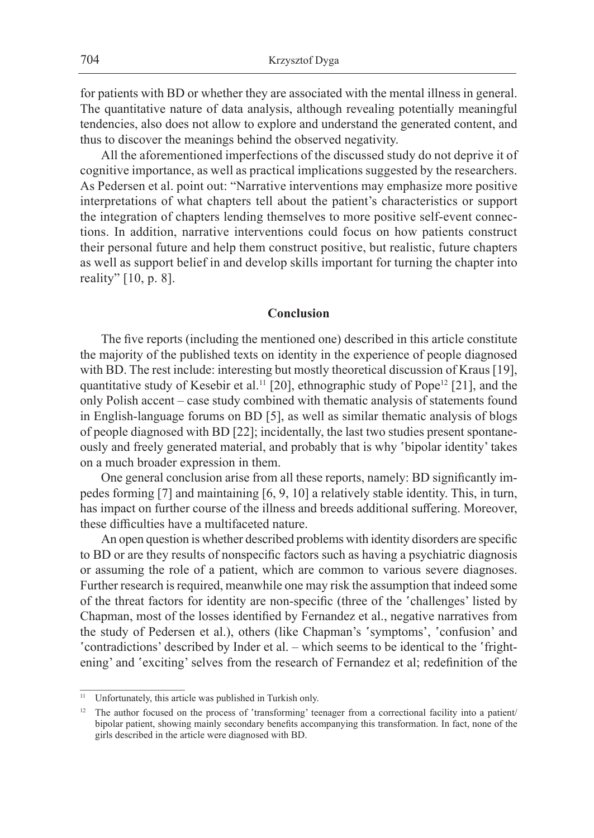for patients with BD or whether they are associated with the mental illness in general. The quantitative nature of data analysis, although revealing potentially meaningful tendencies, also does not allow to explore and understand the generated content, and thus to discover the meanings behind the observed negativity.

All the aforementioned imperfections of the discussed study do not deprive it of cognitive importance, as well as practical implications suggested by the researchers. As Pedersen et al. point out: "Narrative interventions may emphasize more positive interpretations of what chapters tell about the patient's characteristics or support the integration of chapters lending themselves to more positive self-event connections. In addition, narrative interventions could focus on how patients construct their personal future and help them construct positive, but realistic, future chapters as well as support belief in and develop skills important for turning the chapter into reality" [10, p. 8].

#### **Conclusion**

The five reports (including the mentioned one) described in this article constitute the majority of the published texts on identity in the experience of people diagnosed with BD. The rest include: interesting but mostly theoretical discussion of Kraus [19], quantitative study of Kesebir et al.<sup>11</sup> [20], ethnographic study of Pope<sup>12</sup> [21], and the only Polish accent – case study combined with thematic analysis of statements found in English-language forums on BD [5], as well as similar thematic analysis of blogs of people diagnosed with BD [22]; incidentally, the last two studies present spontaneously and freely generated material, and probably that is why 'bipolar identity' takes on a much broader expression in them.

One general conclusion arise from all these reports, namely: BD significantly impedes forming [7] and maintaining [6, 9, 10] a relatively stable identity. This, in turn, has impact on further course of the illness and breeds additional suffering. Moreover, these difficulties have a multifaceted nature.

An open question is whether described problems with identity disorders are specific to BD or are they results of nonspecific factors such as having a psychiatric diagnosis or assuming the role of a patient, which are common to various severe diagnoses. Further research is required, meanwhile one may risk the assumption that indeed some of the threat factors for identity are non-specific (three of the 'challenges' listed by Chapman, most of the losses identified by Fernandez et al., negative narratives from the study of Pedersen et al.), others (like Chapman's 'symptoms', 'confusion' and 'contradictions' described by Inder et al. – which seems to be identical to the 'frightening' and 'exciting' selves from the research of Fernandez et al; redefinition of the

<sup>&</sup>lt;sup>11</sup> Unfortunately, this article was published in Turkish only.

<sup>&</sup>lt;sup>12</sup> The author focused on the process of 'transforming' teenager from a correctional facility into a patient/ bipolar patient, showing mainly secondary benefits accompanying this transformation. In fact, none of the girls described in the article were diagnosed with BD.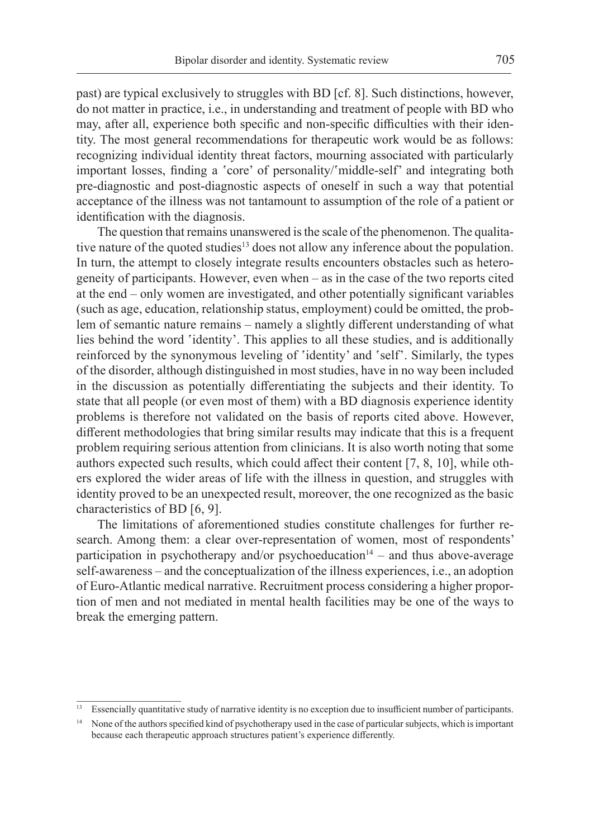past) are typical exclusively to struggles with BD [cf. 8]. Such distinctions, however, do not matter in practice, i.e., in understanding and treatment of people with BD who may, after all, experience both specific and non-specific difficulties with their identity. The most general recommendations for therapeutic work would be as follows: recognizing individual identity threat factors, mourning associated with particularly important losses, finding a 'core' of personality/'middle-self' and integrating both pre-diagnostic and post-diagnostic aspects of oneself in such a way that potential acceptance of the illness was not tantamount to assumption of the role of a patient or identification with the diagnosis.

The question that remains unanswered is the scale of the phenomenon. The qualitative nature of the quoted studies<sup>13</sup> does not allow any inference about the population. In turn, the attempt to closely integrate results encounters obstacles such as heterogeneity of participants. However, even when – as in the case of the two reports cited at the end – only women are investigated, and other potentially significant variables (such as age, education, relationship status, employment) could be omitted, the problem of semantic nature remains – namely a slightly different understanding of what lies behind the word 'identity'. This applies to all these studies, and is additionally reinforced by the synonymous leveling of 'identity' and 'self'. Similarly, the types of the disorder, although distinguished in most studies, have in no way been included in the discussion as potentially differentiating the subjects and their identity. To state that all people (or even most of them) with a BD diagnosis experience identity problems is therefore not validated on the basis of reports cited above. However, different methodologies that bring similar results may indicate that this is a frequent problem requiring serious attention from clinicians. It is also worth noting that some authors expected such results, which could affect their content [7, 8, 10], while others explored the wider areas of life with the illness in question, and struggles with identity proved to be an unexpected result, moreover, the one recognized as the basic characteristics of BD [6, 9].

The limitations of aforementioned studies constitute challenges for further research. Among them: a clear over-representation of women, most of respondents' participation in psychotherapy and/or psychoeducation $14 -$  and thus above-average self-awareness – and the conceptualization of the illness experiences, i.e., an adoption of Euro-Atlantic medical narrative. Recruitment process considering a higher proportion of men and not mediated in mental health facilities may be one of the ways to break the emerging pattern.

<sup>13</sup> Essencially quantitative study of narrative identity is no exception due to insufficient number of participants.

<sup>&</sup>lt;sup>14</sup> None of the authors specified kind of psychotherapy used in the case of particular subjects, which is important because each therapeutic approach structures patient's experience differently.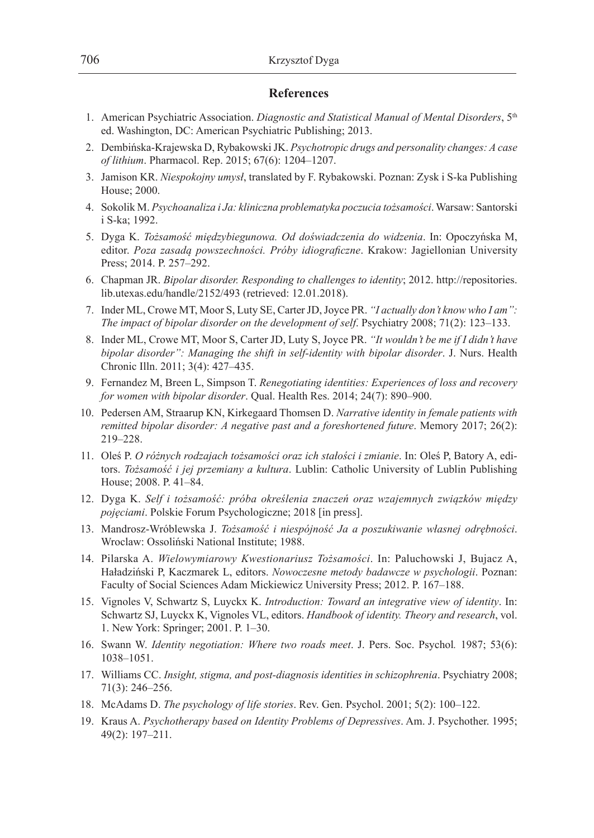#### **References**

- 1. American Psychiatric Association. *Diagnostic and Statistical Manual of Mental Disorders*, 5th ed. Washington, DC: American Psychiatric Publishing; 2013.
- 2. Dembińska-Krajewska D, Rybakowski JK. *Psychotropic drugs and personality changes: A case of lithium*. Pharmacol. Rep. 2015; 67(6): 1204–1207.
- 3. Jamison KR. *Niespokojny umysł*, translated by F. Rybakowski. Poznan: Zysk i S-ka Publishing House; 2000.
- 4. Sokolik M. *Psychoanaliza i Ja: kliniczna problematyka poczucia tożsamości*. Warsaw: Santorski i S-ka; 1992.
- 5. Dyga K. *Tożsamość międzybiegunowa. Od doświadczenia do widzenia*. In: Opoczyńska M, editor. *Poza zasadą powszechności. Próby idiograficzne*. Krakow: Jagiellonian University Press; 2014. P. 257–292.
- 6. Chapman JR. *Bipolar disorder. Responding to challenges to identity*; 2012. http://repositories. lib.utexas.edu/handle/2152/493 (retrieved: 12.01.2018).
- 7. Inder ML, Crowe MT, Moor S, Luty SE, Carter JD, Joyce PR. *"I actually don't know who I am": The impact of bipolar disorder on the development of self*. Psychiatry 2008; 71(2): 123–133.
- 8. Inder ML, Crowe MT, Moor S, Carter JD, Luty S, Joyce PR. *"It wouldn't be me if I didn't have bipolar disorder": Managing the shift in self-identity with bipolar disorder*. J. Nurs. Health Chronic Illn. 2011; 3(4): 427–435.
- 9. Fernandez M, Breen L, Simpson T. *Renegotiating identities: Experiences of loss and recovery for women with bipolar disorder*. Qual. Health Res. 2014; 24(7): 890–900.
- 10. Pedersen AM, Straarup KN, Kirkegaard Thomsen D. *Narrative identity in female patients with remitted bipolar disorder: A negative past and a foreshortened future*. Memory 2017; 26(2): 219–228.
- 11. Oleś P. *O różnych rodzajach tożsamości oraz ich stałości i zmianie*. In: Oleś P, Batory A, editors. *Tożsamość i jej przemiany a kultura*. Lublin: Catholic University of Lublin Publishing House; 2008. P. 41–84.
- 12. Dyga K. *Self i tożsamość: próba określenia znaczeń oraz wzajemnych związków między pojęciami*. Polskie Forum Psychologiczne; 2018 [in press].
- 13. Mandrosz-Wróblewska J. *Tożsamość i niespójność Ja a poszukiwanie własnej odrębności*. Wroclaw: Ossoliński National Institute; 1988.
- 14. Pilarska A. *Wielowymiarowy Kwestionariusz Tożsamości*. In: Paluchowski J, Bujacz A, Haładziński P, Kaczmarek L, editors. *Nowoczesne metody badawcze w psychologii*. Poznan: Faculty of Social Sciences Adam Mickiewicz University Press; 2012. P. 167–188.
- 15. Vignoles V, Schwartz S, Luyckx K. *Introduction: Toward an integrative view of identity*. In: Schwartz SJ, Luyckx K, Vignoles VL, editors. *Handbook of identity. Theory and research*, vol. 1. New York: Springer; 2001. P. 1–30.
- 16. Swann W. *Identity negotiation: Where two roads meet*. J. Pers. Soc. Psychol*.* 1987; 53(6): 1038–1051.
- 17. Williams CC. *Insight, stigma, and post-diagnosis identities in schizophrenia*. Psychiatry 2008; 71(3): 246–256.
- 18. McAdams D. *The psychology of life stories*. Rev. Gen. Psychol. 2001; 5(2): 100–122.
- 19. Kraus A. *Psychotherapy based on Identity Problems of Depressives*. Am. J. Psychother. 1995; 49(2): 197–211.